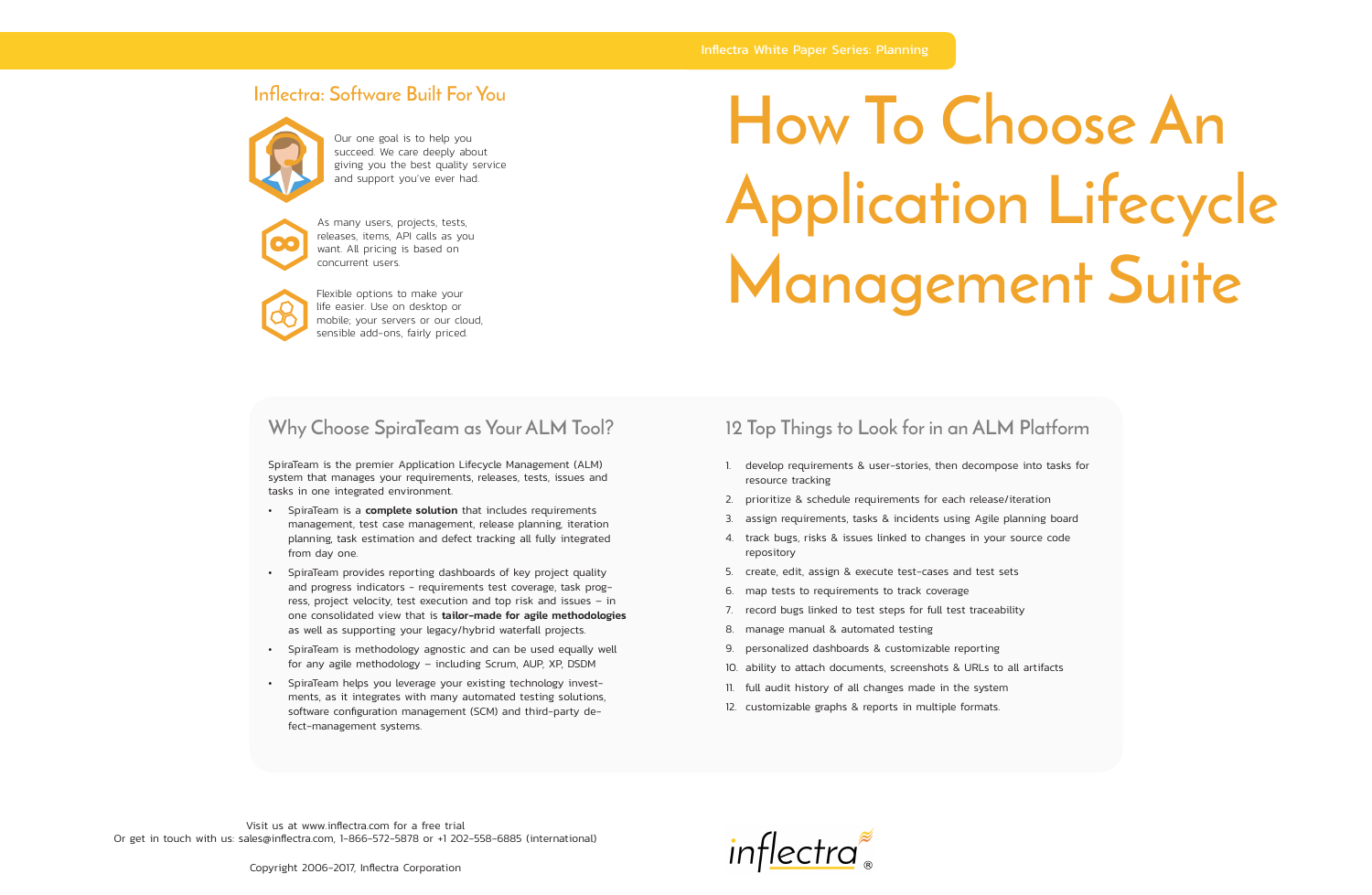# **How To Choose An Application Lifecycle Management Suite**

# **12 Top Things to Look for in an ALM Platform**

- 1. develop requirements & user-stories, then decompose into tasks for resource tracking
- 2. prioritize & schedule requirements for each release/iteration
- 3. assign requirements, tasks & incidents using Agile planning board
- 4. track bugs, risks & issues linked to changes in your source code repository
- 5. create, edit, assign & execute test-cases and test sets
- 6. map tests to requirements to track coverage
- 7. record bugs linked to test steps for full test traceability
- 8. manage manual & automated testing
- 9. personalized dashboards & customizable reporting
- 10. ability to attach documents, screenshots & URLs to all artifacts
- 11. full audit history of all changes made in the system
- 12. customizable graphs & reports in multiple formats.

### **Why Choose SpiraTeam as Your ALM Tool?**

- SpiraTeam is a **complete solution** that includes requirements management, test case management, release planning, iteration planning, task estimation and defect tracking all fully integrated from day one.
- SpiraTeam provides reporting dashboards of key project quality and progress indicators - requirements test coverage, task progress, project velocity, test execution and top risk and issues – in one consolidated view that is tailor-made for agile methodologies as well as supporting your legacy/hybrid waterfall projects.
- SpiraTeam is methodology agnostic and can be used equally well for any agile methodology – including Scrum, AUP, XP, DSDM
- SpiraTeam helps you leverage your existing technology investments, as it integrates with many automated testing solutions, software configuration management (SCM) and third-party defect-management systems.

SpiraTeam is the premier Application Lifecycle Management (ALM) system that manages your requirements, releases, tests, issues and tasks in one integrated environment.



As many users, projects, tests, releases, items, API calls as you want. All pricing is based on concurrent users.



Our one goal is to help you succeed. We care deeply about giving you the best quality service and support you've ever had.



Flexible options to make your life easier. Use on desktop or mobile; your servers or our cloud, sensible add-ons, fairly priced.

## **Inflectra: Software Built For You**